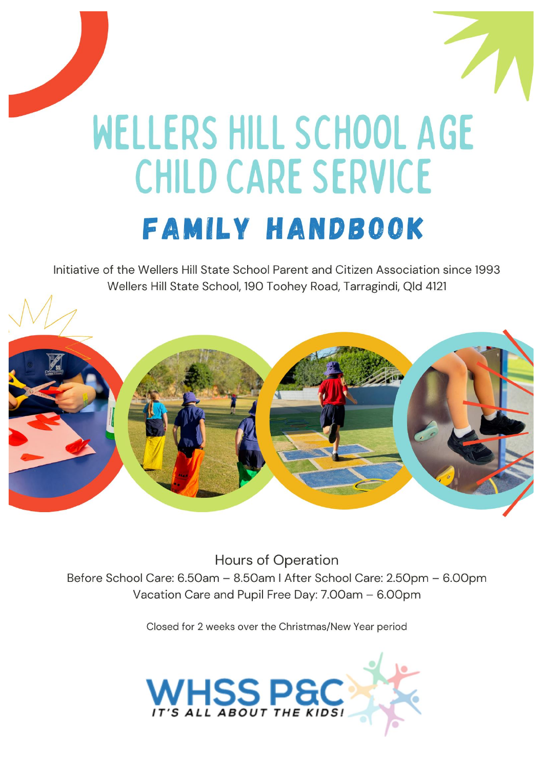

# WELLERS HILL SCHOOL AGE **CHILD CARE SERVICE FAMILY HANDBOOK**

Initiative of the Wellers Hill State School Parent and Citizen Association since 1993 Wellers Hill State School, 190 Toohey Road, Tarragindi, Qld 4121



**Hours of Operation** Before School Care: 6.50am - 8.50am | After School Care: 2.50pm - 6.00pm Vacation Care and Pupil Free Day: 7.00am - 6.00pm

Closed for 2 weeks over the Christmas/New Year period

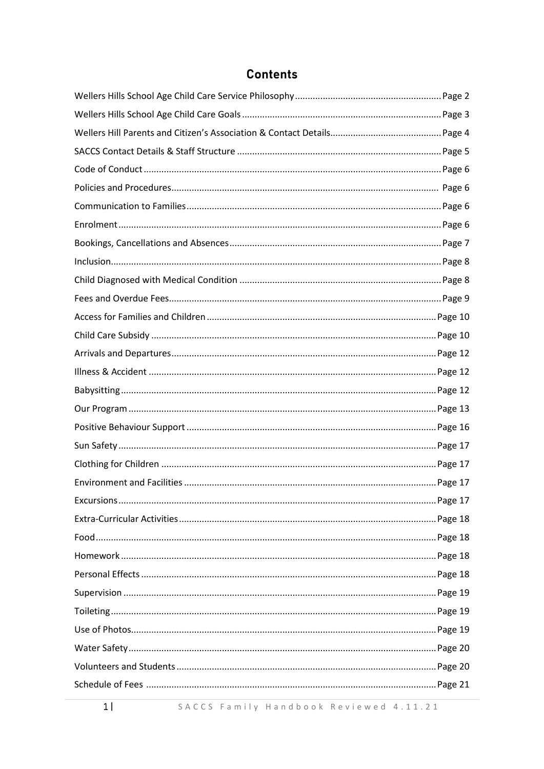# **Contents**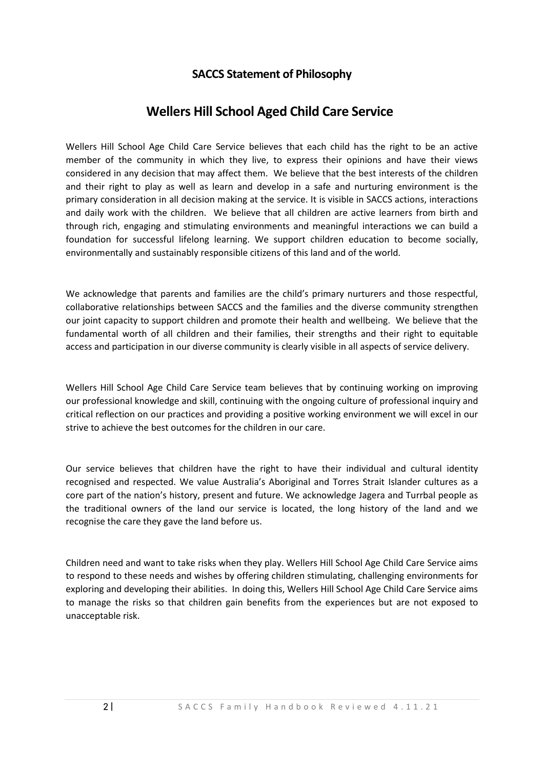#### **SACCS Statement of Philosophy**

# **Wellers Hill School Aged Child Care Service**

Wellers Hill School Age Child Care Service believes that each child has the right to be an active member of the community in which they live, to express their opinions and have their views considered in any decision that may affect them. We believe that the best interests of the children and their right to play as well as learn and develop in a safe and nurturing environment is the primary consideration in all decision making at the service. It is visible in SACCS actions, interactions and daily work with the children. We believe that all children are active learners from birth and through rich, engaging and stimulating environments and meaningful interactions we can build a foundation for successful lifelong learning. We support children education to become socially, environmentally and sustainably responsible citizens of this land and of the world.

We acknowledge that parents and families are the child's primary nurturers and those respectful, collaborative relationships between SACCS and the families and the diverse community strengthen our joint capacity to support children and promote their health and wellbeing. We believe that the fundamental worth of all children and their families, their strengths and their right to equitable access and participation in our diverse community is clearly visible in all aspects of service delivery.

Wellers Hill School Age Child Care Service team believes that by continuing working on improving our professional knowledge and skill, continuing with the ongoing culture of professional inquiry and critical reflection on our practices and providing a positive working environment we will excel in our strive to achieve the best outcomes for the children in our care.

Our service believes that children have the right to have their individual and cultural identity recognised and respected. We value Australia's Aboriginal and Torres Strait Islander cultures as a core part of the nation's history, present and future. We acknowledge Jagera and Turrbal people as the traditional owners of the land our service is located, the long history of the land and we recognise the care they gave the land before us.

Children need and want to take risks when they play. Wellers Hill School Age Child Care Service aims to respond to these needs and wishes by offering children stimulating, challenging environments for exploring and developing their abilities. In doing this, Wellers Hill School Age Child Care Service aims to manage the risks so that children gain benefits from the experiences but are not exposed to unacceptable risk.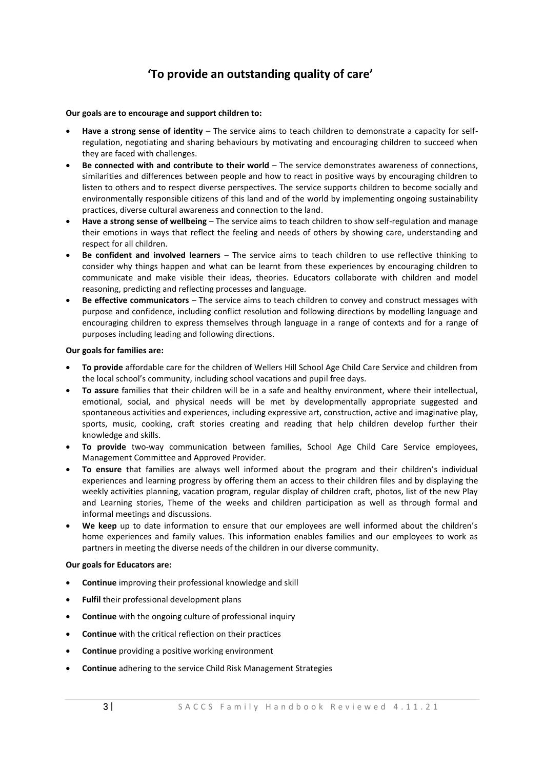# **'To provide an outstanding quality of care'**

#### **Our goals are to encourage and support children to:**

- **Have a strong sense of identity** The service aims to teach children to demonstrate a capacity for selfregulation, negotiating and sharing behaviours by motivating and encouraging children to succeed when they are faced with challenges.
- **Be connected with and contribute to their world** The service demonstrates awareness of connections, similarities and differences between people and how to react in positive ways by encouraging children to listen to others and to respect diverse perspectives. The service supports children to become socially and environmentally responsible citizens of this land and of the world by implementing ongoing sustainability practices, diverse cultural awareness and connection to the land.
- **Have a strong sense of wellbeing** The service aims to teach children to show self-regulation and manage their emotions in ways that reflect the feeling and needs of others by showing care, understanding and respect for all children.
- **Be confident and involved learners** The service aims to teach children to use reflective thinking to consider why things happen and what can be learnt from these experiences by encouraging children to communicate and make visible their ideas, theories. Educators collaborate with children and model reasoning, predicting and reflecting processes and language.
- **Be effective communicators** The service aims to teach children to convey and construct messages with purpose and confidence, including conflict resolution and following directions by modelling language and encouraging children to express themselves through language in a range of contexts and for a range of purposes including leading and following directions.

#### **Our goals for families are:**

- **To provide** affordable care for the children of Wellers Hill School Age Child Care Service and children from the local school's community, including school vacations and pupil free days.
- **To assure** families that their children will be in a safe and healthy environment, where their intellectual, emotional, social, and physical needs will be met by developmentally appropriate suggested and spontaneous activities and experiences, including expressive art, construction, active and imaginative play, sports, music, cooking, craft stories creating and reading that help children develop further their knowledge and skills.
- **To provide** two-way communication between families, School Age Child Care Service employees, Management Committee and Approved Provider.
- **To ensure** that families are always well informed about the program and their children's individual experiences and learning progress by offering them an access to their children files and by displaying the weekly activities planning, vacation program, regular display of children craft, photos, list of the new Play and Learning stories, Theme of the weeks and children participation as well as through formal and informal meetings and discussions.
- **We keep** up to date information to ensure that our employees are well informed about the children's home experiences and family values. This information enables families and our employees to work as partners in meeting the diverse needs of the children in our diverse community.

#### **Our goals for Educators are:**

- **Continue** improving their professional knowledge and skill
- **Fulfil** their professional development plans
- **Continue** with the ongoing culture of professional inquiry
- **Continue** with the critical reflection on their practices
- **Continue** providing a positive working environment
- **Continue** adhering to the service Child Risk Management Strategies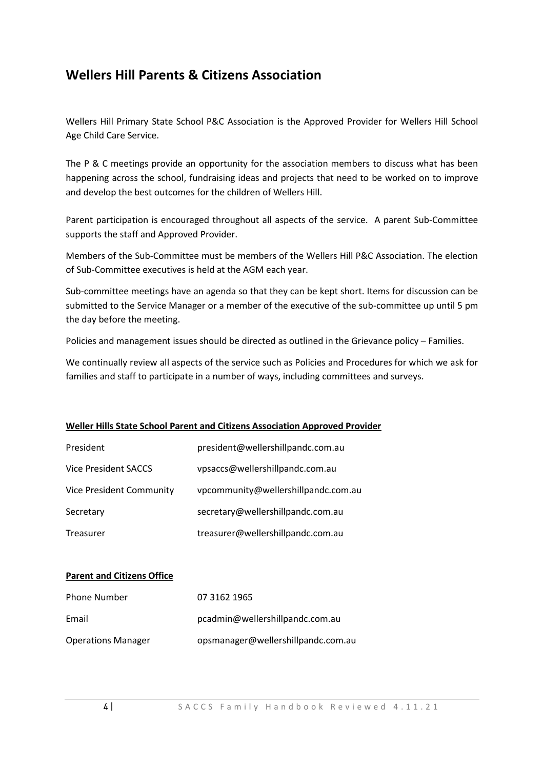# **Wellers Hill Parents & Citizens Association**

Wellers Hill Primary State School P&C Association is the Approved Provider for Wellers Hill School Age Child Care Service.

The P & C meetings provide an opportunity for the association members to discuss what has been happening across the school, fundraising ideas and projects that need to be worked on to improve and develop the best outcomes for the children of Wellers Hill.

Parent participation is encouraged throughout all aspects of the service. A parent Sub-Committee supports the staff and Approved Provider.

Members of the Sub-Committee must be members of the Wellers Hill P&C Association. The election of Sub-Committee executives is held at the AGM each year.

Sub-committee meetings have an agenda so that they can be kept short. Items for discussion can be submitted to the Service Manager or a member of the executive of the sub-committee up until 5 pm the day before the meeting.

Policies and management issues should be directed as outlined in the Grievance policy – Families.

We continually review all aspects of the service such as Policies and Procedures for which we ask for families and staff to participate in a number of ways, including committees and surveys.

#### **Weller Hills State School Parent and Citizens Association Approved Provider**

| President                   | president@wellershillpandc.com.au   |
|-----------------------------|-------------------------------------|
| <b>Vice President SACCS</b> | vpsaccs@wellershillpandc.com.au     |
| Vice President Community    | vpcommunity@wellershillpandc.com.au |
| Secretary                   | secretary@wellershillpandc.com.au   |
| Treasurer                   | treasurer@wellershillpandc.com.au   |

#### **Parent and Citizens Office**

| <b>Phone Number</b>       | 07 3162 1965                       |
|---------------------------|------------------------------------|
| Email                     | pcadmin@wellershillpandc.com.au    |
| <b>Operations Manager</b> | opsmanager@wellershillpandc.com.au |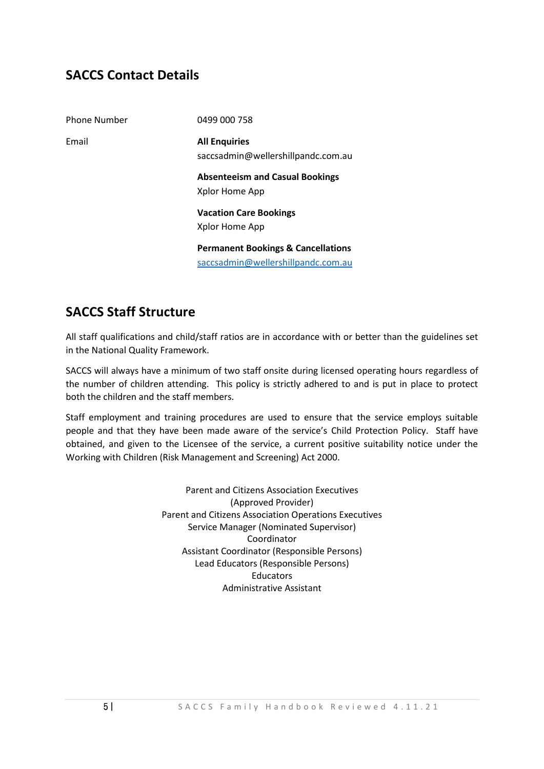# **SACCS Contact Details**

| <b>Phone Number</b> | 0499 000 758                                               |
|---------------------|------------------------------------------------------------|
| Email               | <b>All Enquiries</b><br>saccsadmin@wellershillpandc.com.au |
|                     | <b>Absenteeism and Casual Bookings</b><br>Xplor Home App   |
|                     | <b>Vacation Care Bookings</b>                              |
|                     | Xplor Home App                                             |
|                     | <b>Permanent Bookings &amp; Cancellations</b>              |
|                     | saccsadmin@wellershillpandc.com.au                         |

# **SACCS Staff Structure**

All staff qualifications and child/staff ratios are in accordance with or better than the guidelines set in the National Quality Framework.

SACCS will always have a minimum of two staff onsite during licensed operating hours regardless of the number of children attending. This policy is strictly adhered to and is put in place to protect both the children and the staff members.

Staff employment and training procedures are used to ensure that the service employs suitable people and that they have been made aware of the service's Child Protection Policy. Staff have obtained, and given to the Licensee of the service, a current positive suitability notice under the Working with Children (Risk Management and Screening) Act 2000.

> Parent and Citizens Association Executives (Approved Provider) Parent and Citizens Association Operations Executives Service Manager (Nominated Supervisor) Coordinator Assistant Coordinator (Responsible Persons) Lead Educators (Responsible Persons) **Educators** Administrative Assistant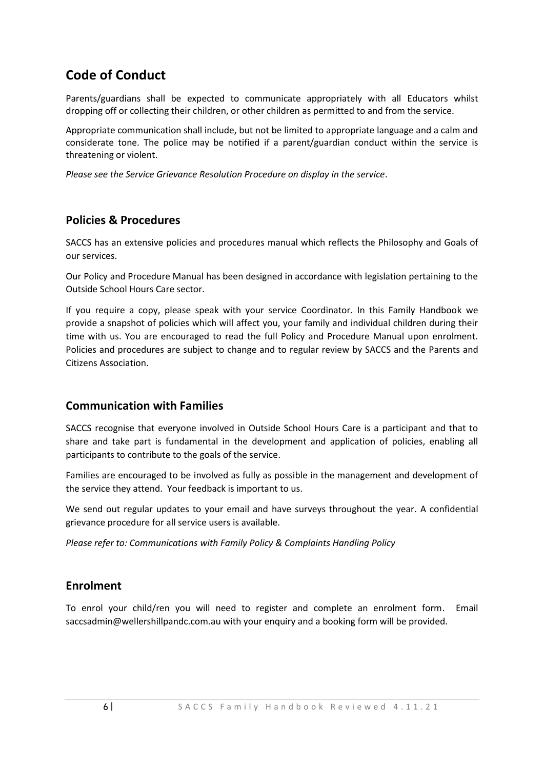# **Code of Conduct**

Parents/guardians shall be expected to communicate appropriately with all Educators whilst dropping off or collecting their children, or other children as permitted to and from the service.

Appropriate communication shall include, but not be limited to appropriate language and a calm and considerate tone. The police may be notified if a parent/guardian conduct within the service is threatening or violent.

*Please see the Service Grievance Resolution Procedure on display in the service*.

#### **Policies & Procedures**

SACCS has an extensive policies and procedures manual which reflects the Philosophy and Goals of our services.

Our Policy and Procedure Manual has been designed in accordance with legislation pertaining to the Outside School Hours Care sector.

If you require a copy, please speak with your service Coordinator. In this Family Handbook we provide a snapshot of policies which will affect you, your family and individual children during their time with us. You are encouraged to read the full Policy and Procedure Manual upon enrolment. Policies and procedures are subject to change and to regular review by SACCS and the Parents and Citizens Association.

#### **Communication with Families**

SACCS recognise that everyone involved in Outside School Hours Care is a participant and that to share and take part is fundamental in the development and application of policies, enabling all participants to contribute to the goals of the service.

Families are encouraged to be involved as fully as possible in the management and development of the service they attend. Your feedback is important to us.

We send out regular updates to your email and have surveys throughout the year. A confidential grievance procedure for all service users is available.

*Please refer to: Communications with Family Policy & Complaints Handling Policy*

# **Enrolment**

To enrol your child/ren you will need to register and complete an enrolment form. Email [saccsadmin@wellershillpandc.com.au](mailto:saccsadmin@wellershillpandc.com.au) with your enquiry and a booking form will be provided.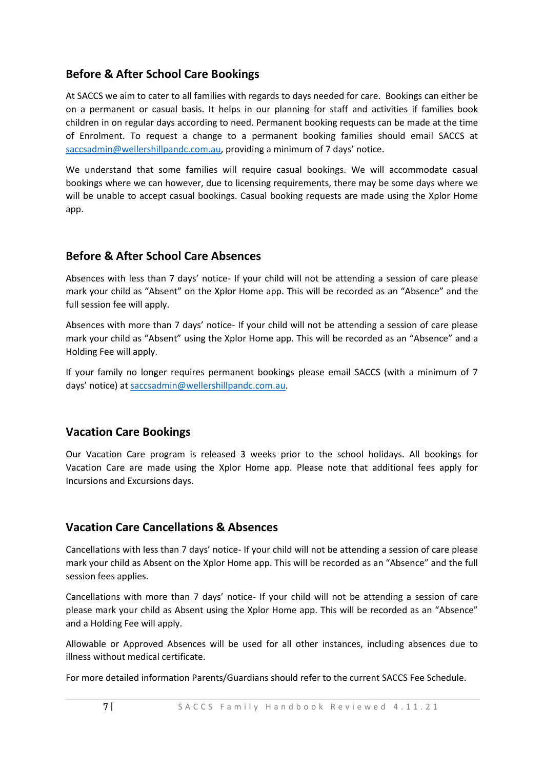# **Before & After School Care Bookings**

At SACCS we aim to cater to all families with regards to days needed for care. Bookings can either be on a permanent or casual basis. It helps in our planning for staff and activities if families book children in on regular days according to need. Permanent booking requests can be made at the time of Enrolment. To request a change to a permanent booking families should email SACCS at [saccsadmin@wellershillpandc.com.au](mailto:saccsadmin@wellershillpandc.com.au), providing a minimum of 7 days' notice.

We understand that some families will require casual bookings. We will accommodate casual bookings where we can however, due to licensing requirements, there may be some days where we will be unable to accept casual bookings. Casual booking requests are made using the Xplor Home app.

# **Before & After School Care Absences**

Absences with less than 7 days' notice- If your child will not be attending a session of care please mark your child as "Absent" on the Xplor Home app. This will be recorded as an "Absence" and the full session fee will apply.

Absences with more than 7 days' notice- If your child will not be attending a session of care please mark your child as "Absent" using the Xplor Home app. This will be recorded as an "Absence" and a Holding Fee will apply.

If your family no longer requires permanent bookings please email SACCS (with a minimum of 7 days' notice) at [saccsadmin@wellershillpandc.com.au.](mailto:saccsadmin@wellershillpandc.com.au)

# **Vacation Care Bookings**

Our Vacation Care program is released 3 weeks prior to the school holidays. All bookings for Vacation Care are made using the Xplor Home app. Please note that additional fees apply for Incursions and Excursions days.

#### **Vacation Care Cancellations & Absences**

Cancellations with less than 7 days' notice- If your child will not be attending a session of care please mark your child as Absent on the Xplor Home app. This will be recorded as an "Absence" and the full session fees applies.

Cancellations with more than 7 days' notice- If your child will not be attending a session of care please mark your child as Absent using the Xplor Home app. This will be recorded as an "Absence" and a Holding Fee will apply.

Allowable or Approved Absences will be used for all other instances, including absences due to illness without medical certificate.

For more detailed information Parents/Guardians should refer to the current SACCS Fee Schedule.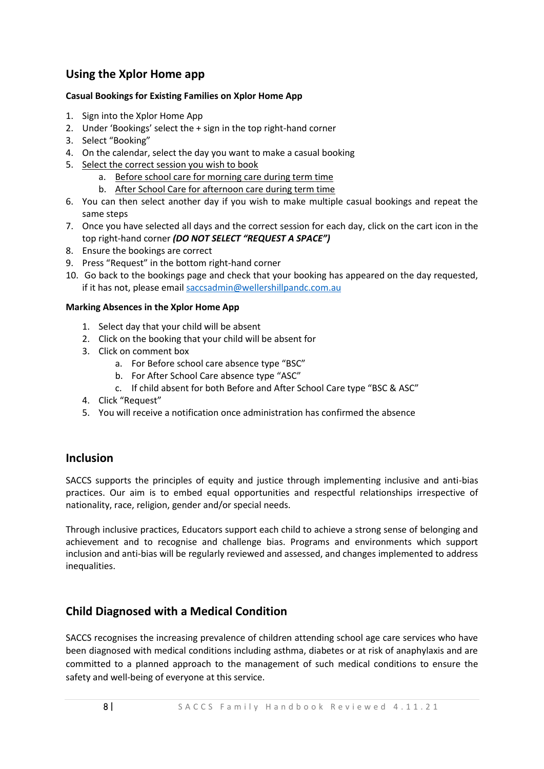# **Using the Xplor Home app**

#### **Casual Bookings for Existing Families on Xplor Home App**

- 1. Sign into the Xplor Home App
- 2. Under 'Bookings' select the + sign in the top right-hand corner
- 3. Select "Booking"
- 4. On the calendar, select the day you want to make a casual booking
- 5. Select the correct session you wish to book
	- a. Before school care for morning care during term time
	- b. After School Care for afternoon care during term time
- 6. You can then select another day if you wish to make multiple casual bookings and repeat the same steps
- 7. Once you have selected all days and the correct session for each day, click on the cart icon in the top right-hand corner *(DO NOT SELECT "REQUEST A SPACE")*
- 8. Ensure the bookings are correct
- 9. Press "Request" in the bottom right-hand corner
- 10. Go back to the bookings page and check that your booking has appeared on the day requested, if it has not, please email [saccsadmin@wellershillpandc.com.au](mailto:saccsadmin@wellershillpandc.com.au)

#### **Marking Absences in the Xplor Home App**

- 1. Select day that your child will be absent
- 2. Click on the booking that your child will be absent for
- 3. Click on comment box
	- a. For Before school care absence type "BSC"
	- b. For After School Care absence type "ASC"
	- c. If child absent for both Before and After School Care type "BSC & ASC"
- 4. Click "Request"
- 5. You will receive a notification once administration has confirmed the absence

#### **Inclusion**

SACCS supports the principles of equity and justice through implementing inclusive and anti-bias practices. Our aim is to embed equal opportunities and respectful relationships irrespective of nationality, race, religion, gender and/or special needs.

Through inclusive practices, Educators support each child to achieve a strong sense of belonging and achievement and to recognise and challenge bias. Programs and environments which support inclusion and anti-bias will be regularly reviewed and assessed, and changes implemented to address inequalities.

# **Child Diagnosed with a Medical Condition**

SACCS recognises the increasing prevalence of children attending school age care services who have been diagnosed with medical conditions including asthma, diabetes or at risk of anaphylaxis and are committed to a planned approach to the management of such medical conditions to ensure the safety and well-being of everyone at this service.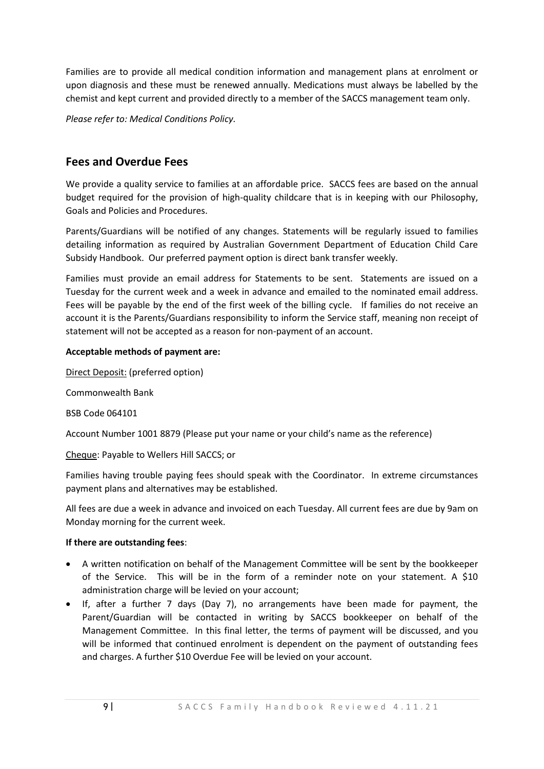Families are to provide all medical condition information and management plans at enrolment or upon diagnosis and these must be renewed annually. Medications must always be labelled by the chemist and kept current and provided directly to a member of the SACCS management team only.

*Please refer to: Medical Conditions Policy.* 

#### **Fees and Overdue Fees**

We provide a quality service to families at an affordable price. SACCS fees are based on the annual budget required for the provision of high-quality childcare that is in keeping with our Philosophy, Goals and Policies and Procedures.

Parents/Guardians will be notified of any changes. Statements will be regularly issued to families detailing information as required by Australian Government Department of Education Child Care Subsidy Handbook. Our preferred payment option is direct bank transfer weekly.

Families must provide an email address for Statements to be sent. Statements are issued on a Tuesday for the current week and a week in advance and emailed to the nominated email address. Fees will be payable by the end of the first week of the billing cycle. If families do not receive an account it is the Parents/Guardians responsibility to inform the Service staff, meaning non receipt of statement will not be accepted as a reason for non-payment of an account.

#### **Acceptable methods of payment are:**

Direct Deposit: (preferred option)

Commonwealth Bank

BSB Code 064101

Account Number 1001 8879 (Please put your name or your child's name as the reference)

Cheque: Payable to Wellers Hill SACCS; or

Families having trouble paying fees should speak with the Coordinator. In extreme circumstances payment plans and alternatives may be established.

All fees are due a week in advance and invoiced on each Tuesday. All current fees are due by 9am on Monday morning for the current week.

#### **If there are outstanding fees**:

- A written notification on behalf of the Management Committee will be sent by the bookkeeper of the Service. This will be in the form of a reminder note on your statement. A \$10 administration charge will be levied on your account;
- If, after a further 7 days (Day 7), no arrangements have been made for payment, the Parent/Guardian will be contacted in writing by SACCS bookkeeper on behalf of the Management Committee. In this final letter, the terms of payment will be discussed, and you will be informed that continued enrolment is dependent on the payment of outstanding fees and charges. A further \$10 Overdue Fee will be levied on your account.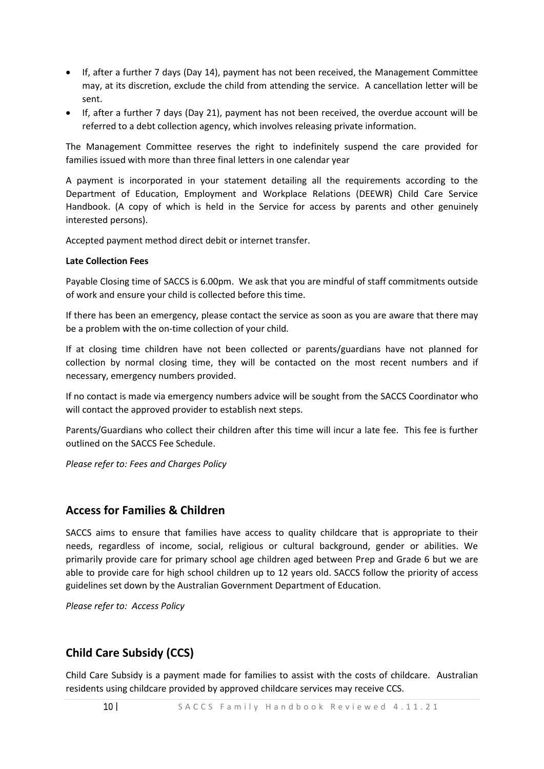- If, after a further 7 days (Day 14), payment has not been received, the Management Committee may, at its discretion, exclude the child from attending the service. A cancellation letter will be sent.
- If, after a further 7 days (Day 21), payment has not been received, the overdue account will be referred to a debt collection agency, which involves releasing private information.

The Management Committee reserves the right to indefinitely suspend the care provided for families issued with more than three final letters in one calendar year

A payment is incorporated in your statement detailing all the requirements according to the Department of Education, Employment and Workplace Relations (DEEWR) Child Care Service Handbook. (A copy of which is held in the Service for access by parents and other genuinely interested persons).

Accepted payment method direct debit or internet transfer.

#### **Late Collection Fees**

Payable Closing time of SACCS is 6.00pm. We ask that you are mindful of staff commitments outside of work and ensure your child is collected before this time.

If there has been an emergency, please contact the service as soon as you are aware that there may be a problem with the on-time collection of your child.

If at closing time children have not been collected or parents/guardians have not planned for collection by normal closing time, they will be contacted on the most recent numbers and if necessary, emergency numbers provided.

If no contact is made via emergency numbers advice will be sought from the SACCS Coordinator who will contact the approved provider to establish next steps.

Parents/Guardians who collect their children after this time will incur a late fee. This fee is further outlined on the SACCS Fee Schedule.

*Please refer to: Fees and Charges Policy*

#### **Access for Families & Children**

SACCS aims to ensure that families have access to quality childcare that is appropriate to their needs, regardless of income, social, religious or cultural background, gender or abilities. We primarily provide care for primary school age children aged between Prep and Grade 6 but we are able to provide care for high school children up to 12 years old. SACCS follow the priority of access guidelines set down by the Australian Government Department of Education.

*Please refer to: Access Policy*

#### **Child Care Subsidy (CCS)**

Child Care Subsidy is a payment made for families to assist with the costs of childcare. Australian residents using childcare provided by approved childcare services may receive CCS.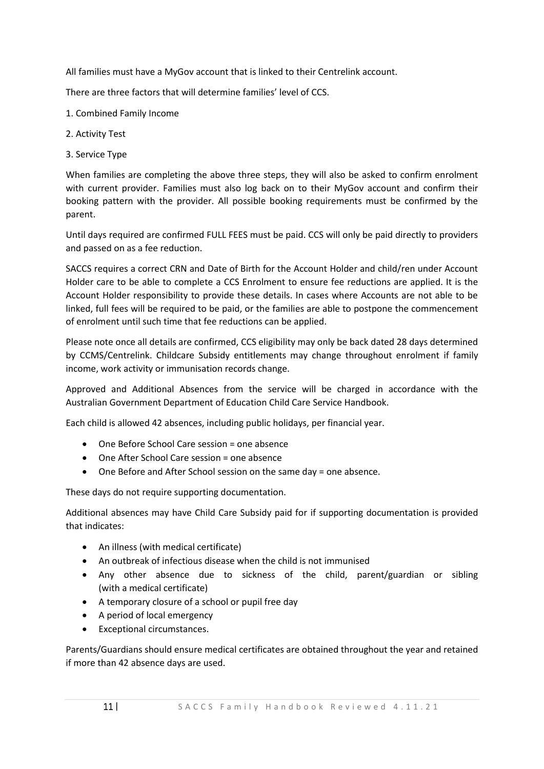All families must have a MyGov account that is linked to their Centrelink account.

There are three factors that will determine families' level of CCS.

- 1. Combined Family Income
- 2. Activity Test
- 3. Service Type

When families are completing the above three steps, they will also be asked to confirm enrolment with current provider. Families must also log back on to their MyGov account and confirm their booking pattern with the provider. All possible booking requirements must be confirmed by the parent.

Until days required are confirmed FULL FEES must be paid. CCS will only be paid directly to providers and passed on as a fee reduction.

SACCS requires a correct CRN and Date of Birth for the Account Holder and child/ren under Account Holder care to be able to complete a CCS Enrolment to ensure fee reductions are applied. It is the Account Holder responsibility to provide these details. In cases where Accounts are not able to be linked, full fees will be required to be paid, or the families are able to postpone the commencement of enrolment until such time that fee reductions can be applied.

Please note once all details are confirmed, CCS eligibility may only be back dated 28 days determined by CCMS/Centrelink. Childcare Subsidy entitlements may change throughout enrolment if family income, work activity or immunisation records change.

Approved and Additional Absences from the service will be charged in accordance with the Australian Government Department of Education Child Care Service Handbook.

Each child is allowed 42 absences, including public holidays, per financial year.

- One Before School Care session = one absence
- One After School Care session = one absence
- One Before and After School session on the same day = one absence.

These days do not require supporting documentation.

Additional absences may have Child Care Subsidy paid for if supporting documentation is provided that indicates:

- An illness (with medical certificate)
- An outbreak of infectious disease when the child is not immunised
- Any other absence due to sickness of the child, parent/guardian or sibling (with a medical certificate)
- A temporary closure of a school or pupil free day
- A period of local emergency
- Exceptional circumstances.

Parents/Guardians should ensure medical certificates are obtained throughout the year and retained if more than 42 absence days are used.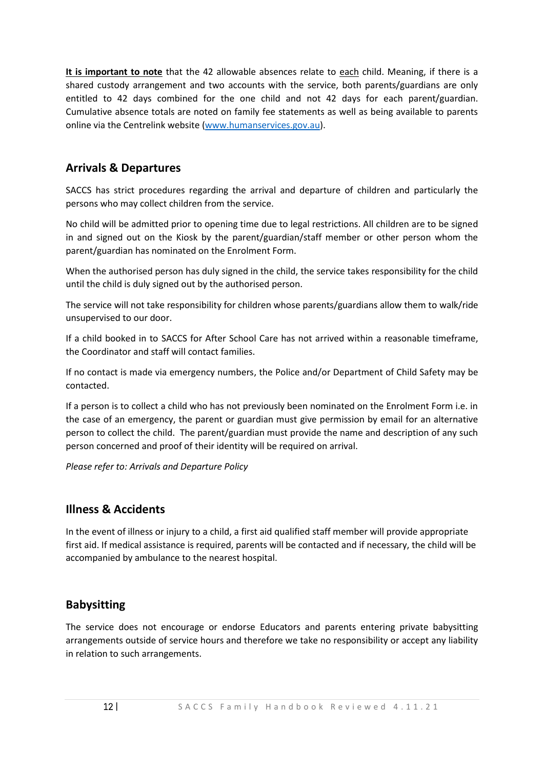**It is important to note** that the 42 allowable absences relate to each child. Meaning, if there is a shared custody arrangement and two accounts with the service, both parents/guardians are only entitled to 42 days combined for the one child and not 42 days for each parent/guardian. Cumulative absence totals are noted on family fee statements as well as being available to parents online via the Centrelink website [\(www.humanservices.gov.au\)](http://www.humanservices.gov.au/).

# **Arrivals & Departures**

SACCS has strict procedures regarding the arrival and departure of children and particularly the persons who may collect children from the service.

No child will be admitted prior to opening time due to legal restrictions. All children are to be signed in and signed out on the Kiosk by the parent/guardian/staff member or other person whom the parent/guardian has nominated on the Enrolment Form.

When the authorised person has duly signed in the child, the service takes responsibility for the child until the child is duly signed out by the authorised person.

The service will not take responsibility for children whose parents/guardians allow them to walk/ride unsupervised to our door.

If a child booked in to SACCS for After School Care has not arrived within a reasonable timeframe, the Coordinator and staff will contact families.

If no contact is made via emergency numbers, the Police and/or Department of Child Safety may be contacted.

If a person is to collect a child who has not previously been nominated on the Enrolment Form i.e. in the case of an emergency, the parent or guardian must give permission by email for an alternative person to collect the child. The parent/guardian must provide the name and description of any such person concerned and proof of their identity will be required on arrival.

*Please refer to: Arrivals and Departure Policy*

#### **Illness & Accidents**

In the event of illness or injury to a child, a first aid qualified staff member will provide appropriate first aid. If medical assistance is required, parents will be contacted and if necessary, the child will be accompanied by ambulance to the nearest hospital.

# **Babysitting**

The service does not encourage or endorse Educators and parents entering private babysitting arrangements outside of service hours and therefore we take no responsibility or accept any liability in relation to such arrangements.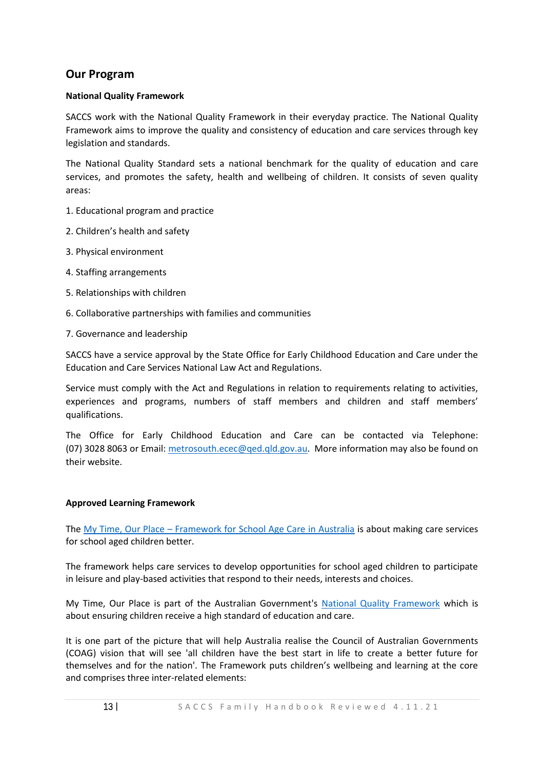#### **Our Program**

#### **National Quality Framework**

SACCS work with the National Quality Framework in their everyday practice. The National Quality Framework aims to improve the quality and consistency of education and care services through key legislation and standards.

The National Quality Standard sets a national benchmark for the quality of education and care services, and promotes the safety, health and wellbeing of children. It consists of seven quality areas:

- 1. Educational program and practice
- 2. Children's health and safety
- 3. Physical environment
- 4. Staffing arrangements
- 5. Relationships with children
- 6. Collaborative partnerships with families and communities
- 7. Governance and leadership

SACCS have a service approval by the State Office for Early Childhood Education and Care under the Education and Care Services National Law Act and Regulations.

Service must comply with the Act and Regulations in relation to requirements relating to activities, experiences and programs, numbers of staff members and children and staff members' qualifications.

The Office for Early Childhood Education and Care can be contacted via Telephone: (07) 3028 8063 or Email: [metrosouth.ecec@qed.qld.gov.au.](mailto:metrosouth.ecec@qed.qld.gov.au) More information may also be found on their website.

#### **Approved Learning Framework**

The My Time, Our Place – [Framework for School Age Care in Australia](https://docs.education.gov.au/node/3388) is about making care services for school aged children better.

The framework helps care services to develop opportunities for school aged children to participate in leisure and play-based activities that respond to their needs, interests and choices.

My Time, Our Place is part of the Australian Government's [National Quality Framework](https://www.education.gov.au/national-quality-framework-early-childhood-education-and-care-1) which is about ensuring children receive a high standard of education and care.

It is one part of the picture that will help Australia realise the Council of Australian Governments (COAG) vision that will see 'all children have the best start in life to create a better future for themselves and for the nation'. The Framework puts children's wellbeing and learning at the core and comprises three inter-related elements: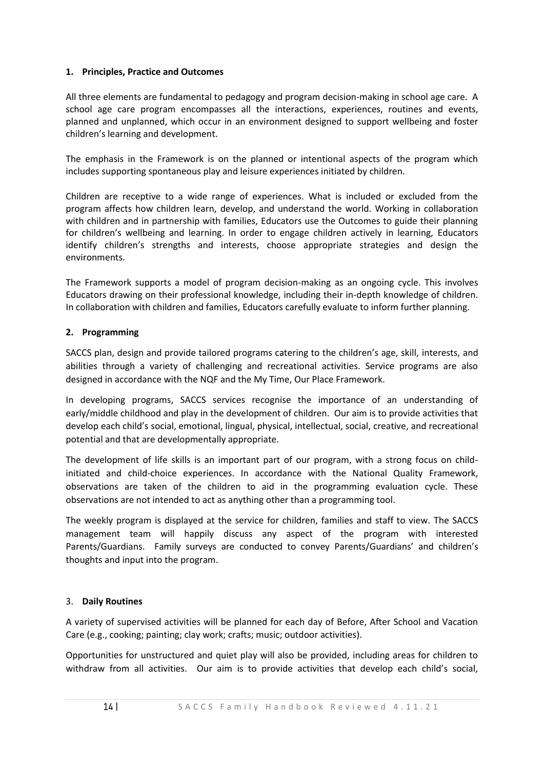#### **1. Principles, Practice and Outcomes**

All three elements are fundamental to pedagogy and program decision-making in school age care. A school age care program encompasses all the interactions, experiences, routines and events, planned and unplanned, which occur in an environment designed to support wellbeing and foster children's learning and development.

The emphasis in the Framework is on the planned or intentional aspects of the program which includes supporting spontaneous play and leisure experiences initiated by children.

Children are receptive to a wide range of experiences. What is included or excluded from the program affects how children learn, develop, and understand the world. Working in collaboration with children and in partnership with families, Educators use the Outcomes to guide their planning for children's wellbeing and learning. In order to engage children actively in learning, Educators identify children's strengths and interests, choose appropriate strategies and design the environments.

The Framework supports a model of program decision-making as an ongoing cycle. This involves Educators drawing on their professional knowledge, including their in-depth knowledge of children. In collaboration with children and families, Educators carefully evaluate to inform further planning.

#### **2. Programming**

SACCS plan, design and provide tailored programs catering to the children's age, skill, interests, and abilities through a variety of challenging and recreational activities. Service programs are also designed in accordance with the NQF and the My Time, Our Place Framework.

In developing programs, SACCS services recognise the importance of an understanding of early/middle childhood and play in the development of children. Our aim is to provide activities that develop each child's social, emotional, lingual, physical, intellectual, social, creative, and recreational potential and that are developmentally appropriate.

The development of life skills is an important part of our program, with a strong focus on childinitiated and child-choice experiences. In accordance with the National Quality Framework, observations are taken of the children to aid in the programming evaluation cycle. These observations are not intended to act as anything other than a programming tool.

The weekly program is displayed at the service for children, families and staff to view. The SACCS management team will happily discuss any aspect of the program with interested Parents/Guardians. Family surveys are conducted to convey Parents/Guardians' and children's thoughts and input into the program.

#### 3. **Daily Routines**

A variety of supervised activities will be planned for each day of Before, After School and Vacation Care (e.g., cooking; painting; clay work; crafts; music; outdoor activities).

Opportunities for unstructured and quiet play will also be provided, including areas for children to withdraw from all activities. Our aim is to provide activities that develop each child's social,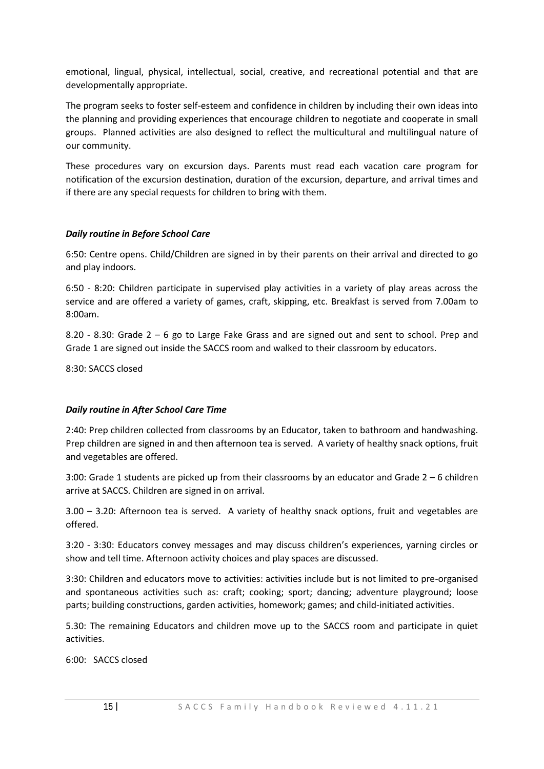emotional, lingual, physical, intellectual, social, creative, and recreational potential and that are developmentally appropriate.

The program seeks to foster self-esteem and confidence in children by including their own ideas into the planning and providing experiences that encourage children to negotiate and cooperate in small groups. Planned activities are also designed to reflect the multicultural and multilingual nature of our community.

These procedures vary on excursion days. Parents must read each vacation care program for notification of the excursion destination, duration of the excursion, departure, and arrival times and if there are any special requests for children to bring with them.

#### *Daily routine in Before School Care*

6:50: Centre opens. Child/Children are signed in by their parents on their arrival and directed to go and play indoors.

6:50 - 8:20: Children participate in supervised play activities in a variety of play areas across the service and are offered a variety of games, craft, skipping, etc. Breakfast is served from 7.00am to 8:00am.

8.20 - 8.30: Grade 2 – 6 go to Large Fake Grass and are signed out and sent to school. Prep and Grade 1 are signed out inside the SACCS room and walked to their classroom by educators.

8:30: SACCS closed

#### *Daily routine in After School Care Time*

2:40: Prep children collected from classrooms by an Educator, taken to bathroom and handwashing. Prep children are signed in and then afternoon tea is served. A variety of healthy snack options, fruit and vegetables are offered.

3:00: Grade 1 students are picked up from their classrooms by an educator and Grade 2 – 6 children arrive at SACCS. Children are signed in on arrival.

3.00 – 3.20: Afternoon tea is served. A variety of healthy snack options, fruit and vegetables are offered.

3:20 - 3:30: Educators convey messages and may discuss children's experiences, yarning circles or show and tell time. Afternoon activity choices and play spaces are discussed.

3:30: Children and educators move to activities: activities include but is not limited to pre-organised and spontaneous activities such as: craft; cooking; sport; dancing; adventure playground; loose parts; building constructions, garden activities, homework; games; and child-initiated activities.

5.30: The remaining Educators and children move up to the SACCS room and participate in quiet activities.

6:00: SACCS closed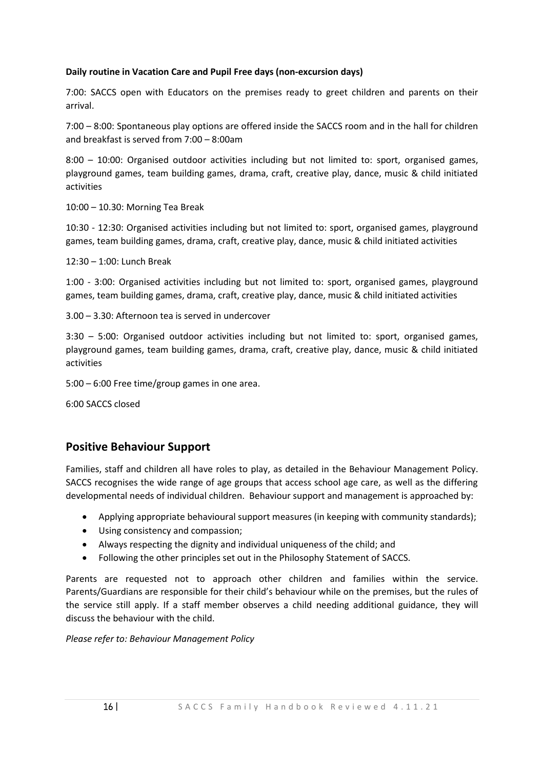#### **Daily routine in Vacation Care and Pupil Free days (non-excursion days)**

7:00: SACCS open with Educators on the premises ready to greet children and parents on their arrival.

7:00 – 8:00: Spontaneous play options are offered inside the SACCS room and in the hall for children and breakfast is served from 7:00 – 8:00am

8:00 – 10:00: Organised outdoor activities including but not limited to: sport, organised games, playground games, team building games, drama, craft, creative play, dance, music & child initiated activities

10:00 – 10.30: Morning Tea Break

10:30 - 12:30: Organised activities including but not limited to: sport, organised games, playground games, team building games, drama, craft, creative play, dance, music & child initiated activities

12:30 – 1:00: Lunch Break

1:00 - 3:00: Organised activities including but not limited to: sport, organised games, playground games, team building games, drama, craft, creative play, dance, music & child initiated activities

3.00 – 3.30: Afternoon tea is served in undercover

3:30 – 5:00: Organised outdoor activities including but not limited to: sport, organised games, playground games, team building games, drama, craft, creative play, dance, music & child initiated activities

5:00 – 6:00 Free time/group games in one area.

6:00 SACCS closed

#### **Positive Behaviour Support**

Families, staff and children all have roles to play, as detailed in the Behaviour Management Policy. SACCS recognises the wide range of age groups that access school age care, as well as the differing developmental needs of individual children. Behaviour support and management is approached by:

- Applying appropriate behavioural support measures (in keeping with community standards);
- Using consistency and compassion;
- Always respecting the dignity and individual uniqueness of the child; and
- Following the other principles set out in the Philosophy Statement of SACCS.

Parents are requested not to approach other children and families within the service. Parents/Guardians are responsible for their child's behaviour while on the premises, but the rules of the service still apply. If a staff member observes a child needing additional guidance, they will discuss the behaviour with the child.

*Please refer to: Behaviour Management Policy*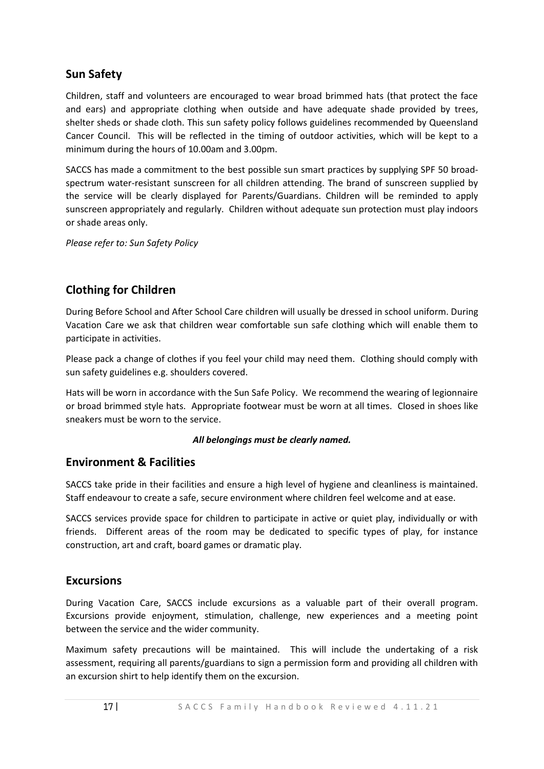# **Sun Safety**

Children, staff and volunteers are encouraged to wear broad brimmed hats (that protect the face and ears) and appropriate clothing when outside and have adequate shade provided by trees, shelter sheds or shade cloth. This sun safety policy follows guidelines recommended by Queensland Cancer Council. This will be reflected in the timing of outdoor activities, which will be kept to a minimum during the hours of 10.00am and 3.00pm.

SACCS has made a commitment to the best possible sun smart practices by supplying SPF 50 broadspectrum water-resistant sunscreen for all children attending. The brand of sunscreen supplied by the service will be clearly displayed for Parents/Guardians. Children will be reminded to apply sunscreen appropriately and regularly. Children without adequate sun protection must play indoors or shade areas only.

*Please refer to: Sun Safety Policy*

# **Clothing for Children**

During Before School and After School Care children will usually be dressed in school uniform. During Vacation Care we ask that children wear comfortable sun safe clothing which will enable them to participate in activities.

Please pack a change of clothes if you feel your child may need them. Clothing should comply with sun safety guidelines e.g. shoulders covered.

Hats will be worn in accordance with the Sun Safe Policy. We recommend the wearing of legionnaire or broad brimmed style hats. Appropriate footwear must be worn at all times. Closed in shoes like sneakers must be worn to the service.

#### *All belongings must be clearly named.*

#### **Environment & Facilities**

SACCS take pride in their facilities and ensure a high level of hygiene and cleanliness is maintained. Staff endeavour to create a safe, secure environment where children feel welcome and at ease.

SACCS services provide space for children to participate in active or quiet play, individually or with friends. Different areas of the room may be dedicated to specific types of play, for instance construction, art and craft, board games or dramatic play.

#### **Excursions**

During Vacation Care, SACCS include excursions as a valuable part of their overall program. Excursions provide enjoyment, stimulation, challenge, new experiences and a meeting point between the service and the wider community.

Maximum safety precautions will be maintained. This will include the undertaking of a risk assessment, requiring all parents/guardians to sign a permission form and providing all children with an excursion shirt to help identify them on the excursion.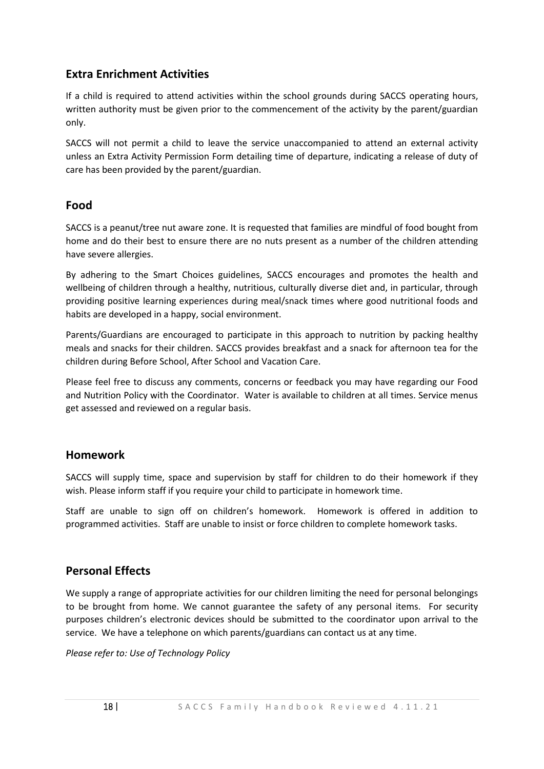# **Extra Enrichment Activities**

If a child is required to attend activities within the school grounds during SACCS operating hours, written authority must be given prior to the commencement of the activity by the parent/guardian only.

SACCS will not permit a child to leave the service unaccompanied to attend an external activity unless an Extra Activity Permission Form detailing time of departure, indicating a release of duty of care has been provided by the parent/guardian.

#### **Food**

SACCS is a peanut/tree nut aware zone. It is requested that families are mindful of food bought from home and do their best to ensure there are no nuts present as a number of the children attending have severe allergies.

By adhering to the Smart Choices guidelines, SACCS encourages and promotes the health and wellbeing of children through a healthy, nutritious, culturally diverse diet and, in particular, through providing positive learning experiences during meal/snack times where good nutritional foods and habits are developed in a happy, social environment.

Parents/Guardians are encouraged to participate in this approach to nutrition by packing healthy meals and snacks for their children. SACCS provides breakfast and a snack for afternoon tea for the children during Before School, After School and Vacation Care.

Please feel free to discuss any comments, concerns or feedback you may have regarding our Food and Nutrition Policy with the Coordinator. Water is available to children at all times. Service menus get assessed and reviewed on a regular basis.

#### **Homework**

SACCS will supply time, space and supervision by staff for children to do their homework if they wish. Please inform staff if you require your child to participate in homework time.

Staff are unable to sign off on children's homework. Homework is offered in addition to programmed activities. Staff are unable to insist or force children to complete homework tasks.

# **Personal Effects**

We supply a range of appropriate activities for our children limiting the need for personal belongings to be brought from home. We cannot guarantee the safety of any personal items. For security purposes children's electronic devices should be submitted to the coordinator upon arrival to the service. We have a telephone on which parents/guardians can contact us at any time.

*Please refer to: Use of Technology Policy*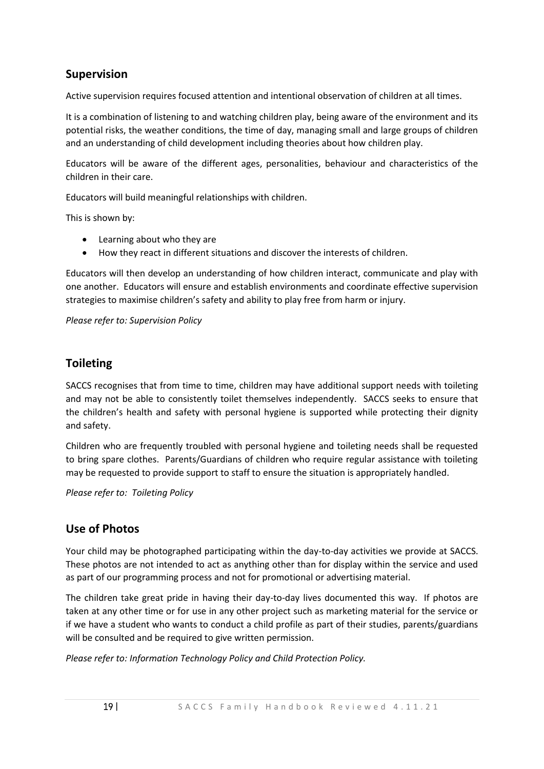# **Supervision**

Active supervision requires focused attention and intentional observation of children at all times.

It is a combination of listening to and watching children play, being aware of the environment and its potential risks, the weather conditions, the time of day, managing small and large groups of children and an understanding of child development including theories about how children play.

Educators will be aware of the different ages, personalities, behaviour and characteristics of the children in their care.

Educators will build meaningful relationships with children.

This is shown by:

- Learning about who they are
- How they react in different situations and discover the interests of children.

Educators will then develop an understanding of how children interact, communicate and play with one another. Educators will ensure and establish environments and coordinate effective supervision strategies to maximise children's safety and ability to play free from harm or injury.

*Please refer to: Supervision Policy*

#### **Toileting**

SACCS recognises that from time to time, children may have additional support needs with toileting and may not be able to consistently toilet themselves independently. SACCS seeks to ensure that the children's health and safety with personal hygiene is supported while protecting their dignity and safety.

Children who are frequently troubled with personal hygiene and toileting needs shall be requested to bring spare clothes. Parents/Guardians of children who require regular assistance with toileting may be requested to provide support to staff to ensure the situation is appropriately handled.

*Please refer to: Toileting Policy*

#### **Use of Photos**

Your child may be photographed participating within the day-to-day activities we provide at SACCS. These photos are not intended to act as anything other than for display within the service and used as part of our programming process and not for promotional or advertising material.

The children take great pride in having their day-to-day lives documented this way. If photos are taken at any other time or for use in any other project such as marketing material for the service or if we have a student who wants to conduct a child profile as part of their studies, parents/guardians will be consulted and be required to give written permission.

*Please refer to: Information Technology Policy and Child Protection Policy.*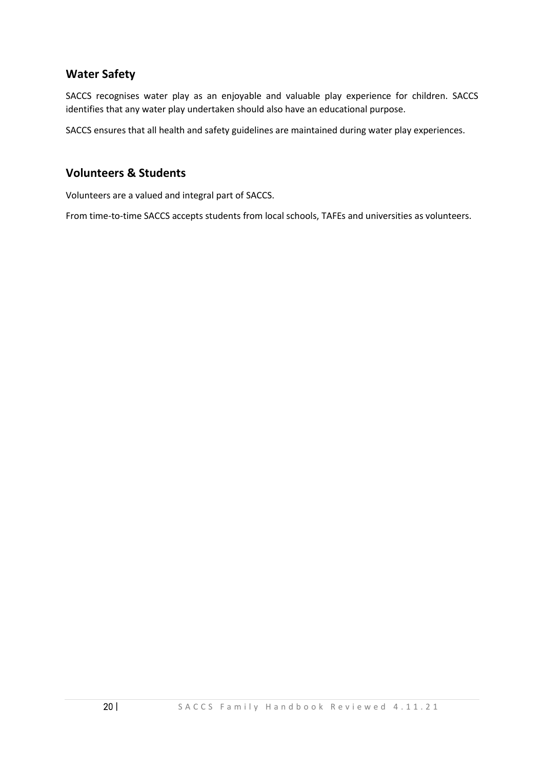#### **Water Safety**

SACCS recognises water play as an enjoyable and valuable play experience for children. SACCS identifies that any water play undertaken should also have an educational purpose.

SACCS ensures that all health and safety guidelines are maintained during water play experiences.

#### **Volunteers & Students**

Volunteers are a valued and integral part of SACCS.

From time-to-time SACCS accepts students from local schools, TAFEs and universities as volunteers.